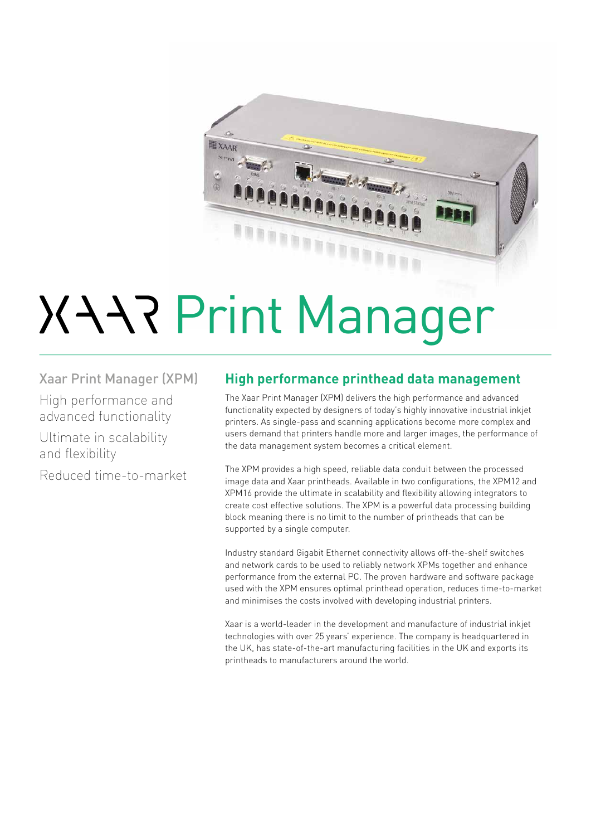

# **XARPrint Manager**

Xaar Print Manager (XPM) High performance and advanced functionality Ultimate in scalability and flexibility Reduced time-to-market

### **High performance printhead data management**

The Xaar Print Manager (XPM) delivers the high performance and advanced functionality expected by designers of today's highly innovative industrial inkjet printers. As single-pass and scanning applications become more complex and users demand that printers handle more and larger images, the performance of the data management system becomes a critical element.

The XPM provides a high speed, reliable data conduit between the processed image data and Xaar printheads. Available in two configurations, the XPM12 and XPM16 provide the ultimate in scalability and flexibility allowing integrators to create cost effective solutions. The XPM is a powerful data processing building block meaning there is no limit to the number of printheads that can be supported by a single computer.

Industry standard Gigabit Ethernet connectivity allows off-the-shelf switches and network cards to be used to reliably network XPMs together and enhance performance from the external PC. The proven hardware and software package used with the XPM ensures optimal printhead operation, reduces time-to-market and minimises the costs involved with developing industrial printers.

Xaar is a world-leader in the development and manufacture of industrial inkjet technologies with over 25 years' experience. The company is headquartered in the UK, has state-of-the-art manufacturing facilities in the UK and exports its printheads to manufacturers around the world.